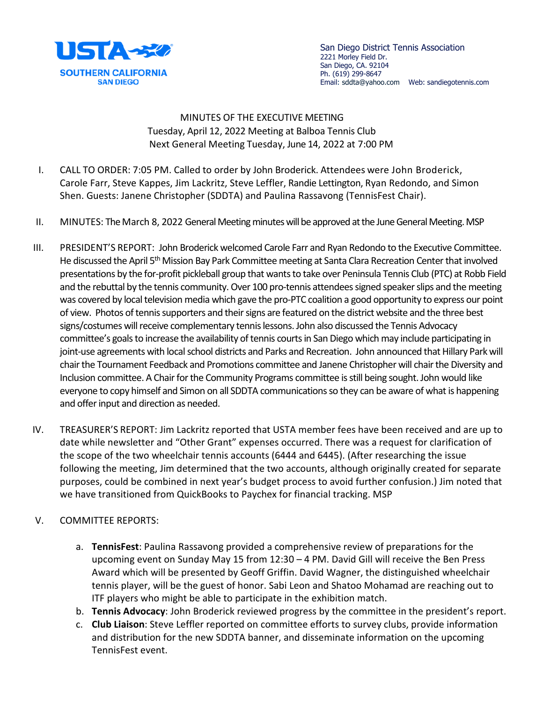

San Diego District Tennis Association 2221 Morley Field Dr. San Diego, CA. 92104 Ph. (619) 299-8647 Email: sddta@yahoo.com Web: sandiegotennis.com

MINUTES OF THE EXECUTIVE MEETING Tuesday, April 12, 2022 Meeting at Balboa Tennis Club Next General Meeting Tuesday, June 14, 2022 at 7:00 PM

- I. CALL TO ORDER: 7:05 PM. Called to order by John Broderick. Attendees were John Broderick, Carole Farr, Steve Kappes, Jim Lackritz, Steve Leffler, Randie Lettington, Ryan Redondo, and Simon Shen. Guests: Janene Christopher (SDDTA) and Paulina Rassavong (TennisFest Chair).
- II. MINUTES: The March 8, 2022 General Meeting minutes will be approved at the June General Meeting. MSP
- III. PRESIDENT'S REPORT: John Broderick welcomed Carole Farr and Ryan Redondo to the Executive Committee. He discussed the April 5<sup>th</sup> Mission Bay Park Committee meeting at Santa Clara Recreation Center that involved presentations by the for-profit pickleball group that wants to take over Peninsula Tennis Club (PTC) at Robb Field and the rebuttal by the tennis community. Over 100 pro-tennis attendees signed speaker slips and the meeting was covered by local television media which gave the pro-PTC coalition a good opportunity to express our point of view. Photos of tennis supporters and their signs are featured on the district website and the three best signs/costumes will receive complementary tennis lessons. John also discussed the Tennis Advocacy committee's goals to increase the availability of tennis courts in San Diego which may include participating in joint-use agreements with local school districts and Parks and Recreation. John announced that Hillary Park will chair the Tournament Feedback and Promotions committee and Janene Christopher will chair the Diversity and Inclusion committee. A Chair for the Community Programs committee is still being sought. John would like everyone to copy himself and Simon on all SDDTA communications so they can be aware of what is happening and offer input and direction as needed.
- IV. TREASURER'S REPORT: Jim Lackritz reported that USTA member fees have been received and are up to date while newsletter and "Other Grant" expenses occurred. There was a request for clarification of the scope of the two wheelchair tennis accounts (6444 and 6445). (After researching the issue following the meeting, Jim determined that the two accounts, although originally created for separate purposes, could be combined in next year's budget process to avoid further confusion.) Jim noted that we have transitioned from QuickBooks to Paychex for financial tracking. MSP

## V. COMMITTEE REPORTS:

- a. **TennisFest**: Paulina Rassavong provided a comprehensive review of preparations for the upcoming event on Sunday May 15 from 12:30 – 4 PM. David Gill will receive the Ben Press Award which will be presented by Geoff Griffin. David Wagner, the distinguished wheelchair tennis player, will be the guest of honor. Sabi Leon and Shatoo Mohamad are reaching out to ITF players who might be able to participate in the exhibition match.
- b. **Tennis Advocacy**: John Broderick reviewed progress by the committee in the president's report.
- c. **Club Liaison**: Steve Leffler reported on committee efforts to survey clubs, provide information and distribution for the new SDDTA banner, and disseminate information on the upcoming TennisFest event.